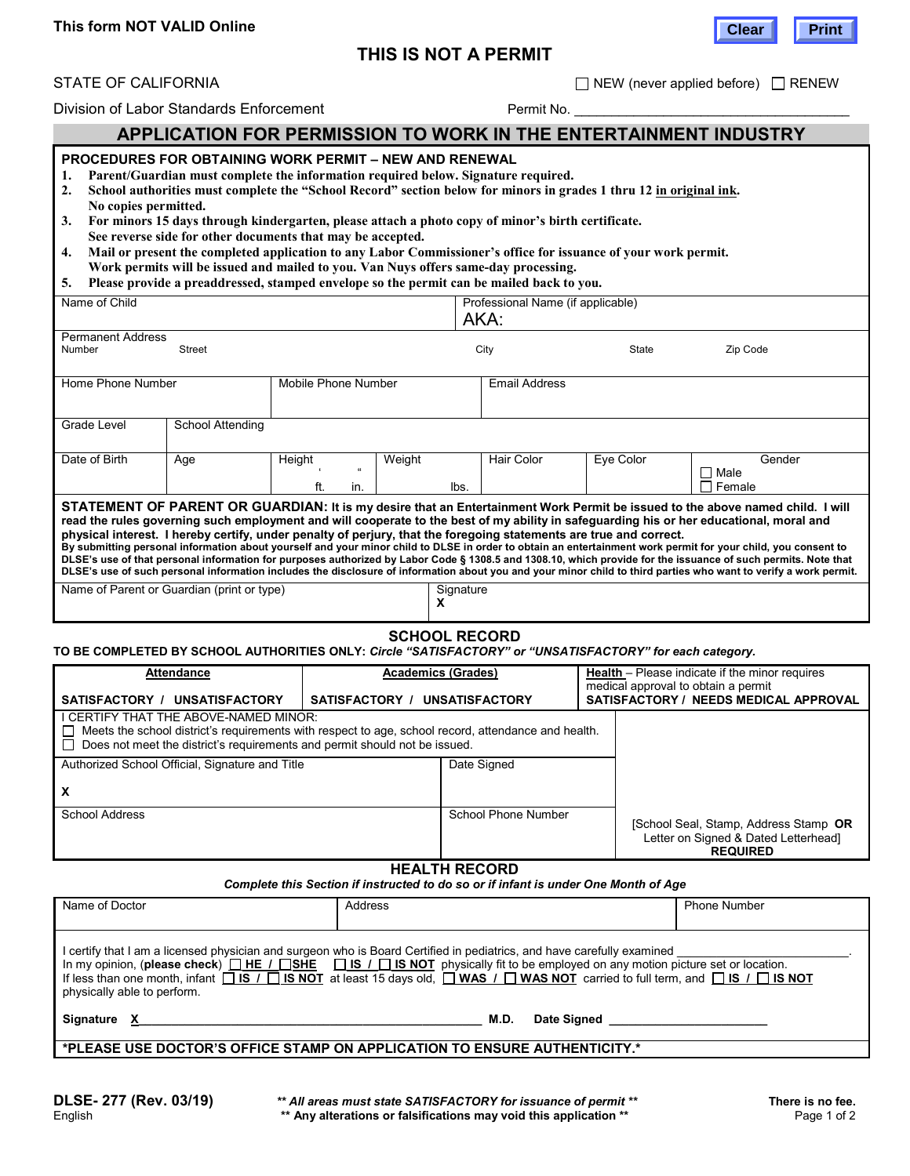# **THIS IS NOT A PERMIT**



## **STATE OF CALIFORNIA** *NEW (never applied before)*  $\Box$  RENEW

Division of Labor Standards Enforcement **Permit No.** 2014

# **APPLICATION FOR PERMISSION TO WORK IN THE ENTERTAINMENT INDUSTRY**

# **PROCEDURES FOR OBTAINING WORK PERMIT – NEW AND RENEWAL**

- **1. Parent/Guardian must complete the information required below. Signature required.**
- **2. School authorities must complete the "School Record" section below for minors in grades 1 thru 12 in original ink. No copies permitted.**

| 3. For minors 15 days through kindergarten, please attach a photo copy of minor's birth certificate. |
|------------------------------------------------------------------------------------------------------|
| See reverse side for other documents that may be accepted.                                           |

| 4. Mail or present the completed application to any Labor Commissioner's office for issuance of your work permit. |
|-------------------------------------------------------------------------------------------------------------------|
| Work permits will be issued and mailed to you. Van Nuys offers same-day processing                                |

**Work permits will be issued and mailed to you. Van Nuys offers same-day processing. 5. Please provide a preaddressed, stamped envelope so the permit can be mailed back to you.**

| ''' Ticasc provide a preaduitesseu, stamped envelope so the permit can be maned back to vou.                                                                                                                                                                                                                                                                                                                                                                                                                                                                                                                                                                                                                                                                                                                                                                                                                                                                    |                     |        |          |                                           |       |                   |           |        |
|-----------------------------------------------------------------------------------------------------------------------------------------------------------------------------------------------------------------------------------------------------------------------------------------------------------------------------------------------------------------------------------------------------------------------------------------------------------------------------------------------------------------------------------------------------------------------------------------------------------------------------------------------------------------------------------------------------------------------------------------------------------------------------------------------------------------------------------------------------------------------------------------------------------------------------------------------------------------|---------------------|--------|----------|-------------------------------------------|-------|-------------------|-----------|--------|
| Name of Child                                                                                                                                                                                                                                                                                                                                                                                                                                                                                                                                                                                                                                                                                                                                                                                                                                                                                                                                                   |                     |        |          | Professional Name (if applicable)<br>AKA: |       |                   |           |        |
| <b>Permanent Address</b>                                                                                                                                                                                                                                                                                                                                                                                                                                                                                                                                                                                                                                                                                                                                                                                                                                                                                                                                        |                     |        |          |                                           |       |                   |           |        |
| <b>Street</b><br>Number                                                                                                                                                                                                                                                                                                                                                                                                                                                                                                                                                                                                                                                                                                                                                                                                                                                                                                                                         |                     |        | City     |                                           | State | Zip Code          |           |        |
|                                                                                                                                                                                                                                                                                                                                                                                                                                                                                                                                                                                                                                                                                                                                                                                                                                                                                                                                                                 |                     |        |          |                                           |       |                   |           |        |
| Home Phone Number                                                                                                                                                                                                                                                                                                                                                                                                                                                                                                                                                                                                                                                                                                                                                                                                                                                                                                                                               | Mobile Phone Number |        |          | <b>Email Address</b>                      |       |                   |           |        |
|                                                                                                                                                                                                                                                                                                                                                                                                                                                                                                                                                                                                                                                                                                                                                                                                                                                                                                                                                                 |                     |        |          |                                           |       |                   |           |        |
|                                                                                                                                                                                                                                                                                                                                                                                                                                                                                                                                                                                                                                                                                                                                                                                                                                                                                                                                                                 |                     |        |          |                                           |       |                   |           |        |
| Grade Level                                                                                                                                                                                                                                                                                                                                                                                                                                                                                                                                                                                                                                                                                                                                                                                                                                                                                                                                                     | School Attending    |        |          |                                           |       |                   |           |        |
|                                                                                                                                                                                                                                                                                                                                                                                                                                                                                                                                                                                                                                                                                                                                                                                                                                                                                                                                                                 |                     |        |          |                                           |       |                   |           |        |
| Date of Birth                                                                                                                                                                                                                                                                                                                                                                                                                                                                                                                                                                                                                                                                                                                                                                                                                                                                                                                                                   | Age                 | Height |          | Weight                                    |       | <b>Hair Color</b> | Eye Color | Gender |
|                                                                                                                                                                                                                                                                                                                                                                                                                                                                                                                                                                                                                                                                                                                                                                                                                                                                                                                                                                 |                     |        | $\alpha$ |                                           |       |                   |           | ⊟ Male |
|                                                                                                                                                                                                                                                                                                                                                                                                                                                                                                                                                                                                                                                                                                                                                                                                                                                                                                                                                                 |                     | ft.    | in.      |                                           | lbs.  |                   |           | Female |
| STATEMENT OF PARENT OR GUARDIAN: It is my desire that an Entertainment Work Permit be issued to the above named child. I will<br>read the rules governing such employment and will cooperate to the best of my ability in safeguarding his or her educational, moral and<br>physical interest. I hereby certify, under penalty of perjury, that the foregoing statements are true and correct.<br>By submitting personal information about yourself and your minor child to DLSE in order to obtain an entertainment work permit for your child, you consent to<br>DLSE's use of that personal information for purposes authorized by Labor Code § 1308.5 and 1308.10, which provide for the issuance of such permits. Note that<br>DLSE's use of such personal information includes the disclosure of information about you and your minor child to third parties who want to verify a work permit.<br>Signature<br>Name of Parent or Guardian (print or type) |                     |        |          |                                           |       |                   |           |        |
|                                                                                                                                                                                                                                                                                                                                                                                                                                                                                                                                                                                                                                                                                                                                                                                                                                                                                                                                                                 |                     |        |          | х                                         |       |                   |           |        |

# **SCHOOL RECORD**

#### **TO BE COMPLETED BY SCHOOL AUTHORITIES ONLY:** *Circle "SATISFACTORY" or "UNSATISFACTORY" for each category.*

| Attendance                                                                                                                                                                                                                                 |                               | <b>Academics (Grades)</b> | <b>Health</b> – Please indicate if the minor requires<br>medical approval to obtain a permit |                                                                                                  |  |  |
|--------------------------------------------------------------------------------------------------------------------------------------------------------------------------------------------------------------------------------------------|-------------------------------|---------------------------|----------------------------------------------------------------------------------------------|--------------------------------------------------------------------------------------------------|--|--|
| SATISFACTORY / UNSATISFACTORY                                                                                                                                                                                                              | SATISFACTORY / UNSATISFACTORY |                           |                                                                                              | SATISFACTORY / NEEDS MEDICAL APPROVAL                                                            |  |  |
| I CERTIFY THAT THE ABOVE-NAMED MINOR:<br>Meets the school district's requirements with respect to age, school record, attendance and health.<br>$\mathbf{1}$<br>Does not meet the district's requirements and permit should not be issued. |                               |                           |                                                                                              |                                                                                                  |  |  |
| Authorized School Official, Signature and Title                                                                                                                                                                                            |                               | Date Signed               |                                                                                              |                                                                                                  |  |  |
| X                                                                                                                                                                                                                                          |                               |                           |                                                                                              |                                                                                                  |  |  |
| <b>School Address</b>                                                                                                                                                                                                                      |                               | School Phone Number       |                                                                                              | [School Seal, Stamp, Address Stamp OR<br>Letter on Signed & Dated Letterhead]<br><b>REQUIRED</b> |  |  |
| UCAI TU DECODD                                                                                                                                                                                                                             |                               |                           |                                                                                              |                                                                                                  |  |  |

#### **HEALTH RECORD**

*Complete this Section if instructed to do so or if infant is under One Month of Age*

| Name of Doctor                                                                                                                                                                                                                                                                                                                                                                                                                                               | Address                                | <b>Phone Number</b> |  |  |  |  |  |
|--------------------------------------------------------------------------------------------------------------------------------------------------------------------------------------------------------------------------------------------------------------------------------------------------------------------------------------------------------------------------------------------------------------------------------------------------------------|----------------------------------------|---------------------|--|--|--|--|--|
| I certify that I am a licensed physician and surgeon who is Board Certified in pediatrics, and have carefully examined<br>In my opinion, (please check) $\Box$ HE $\land$ $\Box$ SHE $\Box$ IS $\land$ $\Box$ IS NOT physically fit to be employed on any motion picture set or location.<br>If less than one month, infant □ IS / □ IS NOT at least 15 days old, □ WAS / □ WAS NOT carried to full term, and □ IS / □ IS NOT<br>physically able to perform. |                                        |                     |  |  |  |  |  |
| Signature                                                                                                                                                                                                                                                                                                                                                                                                                                                    | M.D.<br>Date Signed <b>Date Signed</b> |                     |  |  |  |  |  |
| *PLEASE USE DOCTOR'S OFFICE STAMP ON APPLICATION TO ENSURE AUTHENTICITY.*                                                                                                                                                                                                                                                                                                                                                                                    |                                        |                     |  |  |  |  |  |